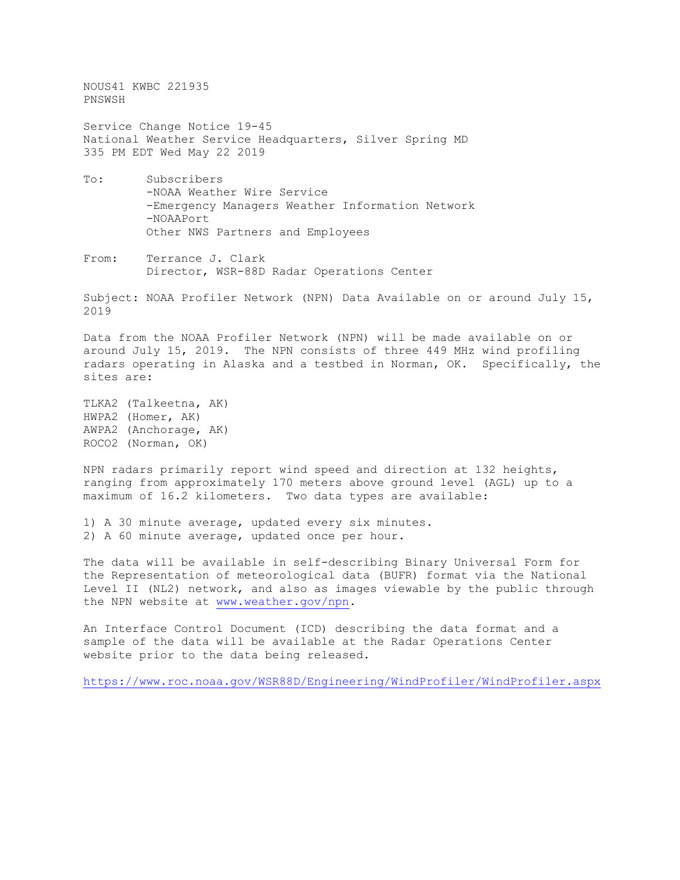NOUS41 KWBC 221935 PNSWSH

Service Change Notice 19-45 National Weather Service Headquarters, Silver Spring MD 335 PM EDT Wed May 22 2019

- To: Subscribers -NOAA Weather Wire Service -Emergency Managers Weather Information Network -NOAAPort Other NWS Partners and Employees
- From: Terrance J. Clark Director, WSR-88D Radar Operations Center

Subject: NOAA Profiler Network (NPN) Data Available on or around July 15, 2019

Data from the NOAA Profiler Network (NPN) will be made available on or around July 15, 2019. The NPN consists of three 449 MHz wind profiling radars operating in Alaska and a testbed in Norman, OK. Specifically, the sites are:

TLKA2 (Talkeetna, AK) HWPA2 (Homer, AK) AWPA2 (Anchorage, AK) ROCO2 (Norman, OK)

NPN radars primarily report wind speed and direction at 132 heights, ranging from approximately 170 meters above ground level (AGL) up to a maximum of 16.2 kilometers. Two data types are available:

1) A 30 minute average, updated every six minutes. 2) A 60 minute average, updated once per hour.

The data will be available in self-describing Binary Universal Form for the Representation of meteorological data (BUFR) format via the National Level II (NL2) network, and also as images viewable by the public through the NPN website at [www.weather.gov/npn.](http://www.weather.gov/npn)

An Interface Control Document (ICD) describing the data format and a sample of the data will be available at the Radar Operations Center website prior to the data being released.

<https://www.roc.noaa.gov/WSR88D/Engineering/WindProfiler/WindProfiler.aspx>